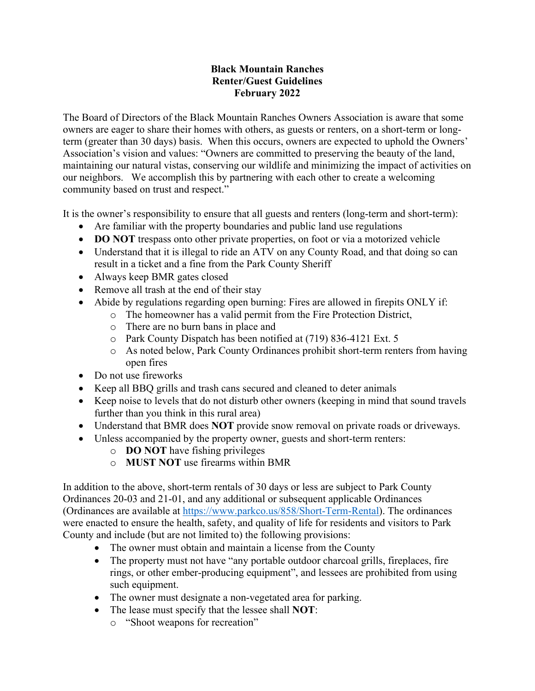## **Black Mountain Ranches Renter/Guest Guidelines February 2022**

The Board of Directors of the Black Mountain Ranches Owners Association is aware that some owners are eager to share their homes with others, as guests or renters, on a short-term or longterm (greater than 30 days) basis. When this occurs, owners are expected to uphold the Owners' Association's vision and values: "Owners are committed to preserving the beauty of the land, maintaining our natural vistas, conserving our wildlife and minimizing the impact of activities on our neighbors. We accomplish this by partnering with each other to create a welcoming community based on trust and respect."

It is the owner's responsibility to ensure that all guests and renters (long-term and short-term):

- Are familiar with the property boundaries and public land use regulations
- **DO NOT** trespass onto other private properties, on foot or via a motorized vehicle
- Understand that it is illegal to ride an ATV on any County Road, and that doing so can result in a ticket and a fine from the Park County Sheriff
- Always keep BMR gates closed
- Remove all trash at the end of their stay
- Abide by regulations regarding open burning: Fires are allowed in firepits ONLY if:
	- o The homeowner has a valid permit from the Fire Protection District,
	- o There are no burn bans in place and
	- o Park County Dispatch has been notified at (719) 836-4121 Ext. 5
	- o As noted below, Park County Ordinances prohibit short-term renters from having open fires
- Do not use fireworks
- Keep all BBQ grills and trash cans secured and cleaned to deter animals
- Keep noise to levels that do not disturb other owners (keeping in mind that sound travels further than you think in this rural area)
- Understand that BMR does **NOT** provide snow removal on private roads or driveways.
- Unless accompanied by the property owner, guests and short-term renters:
	- o **DO NOT** have fishing privileges
	- o **MUST NOT** use firearms within BMR

In addition to the above, short-term rentals of 30 days or less are subject to Park County Ordinances 20-03 and 21-01, and any additional or subsequent applicable Ordinances (Ordinances are available at https://www.parkco.us/858/Short-Term-Rental). The ordinances were enacted to ensure the health, safety, and quality of life for residents and visitors to Park County and include (but are not limited to) the following provisions:

- The owner must obtain and maintain a license from the County
- The property must not have "any portable outdoor charcoal grills, fireplaces, fire rings, or other ember-producing equipment", and lessees are prohibited from using such equipment.
- The owner must designate a non-vegetated area for parking.
- The lease must specify that the lessee shall **NOT**:
	- o "Shoot weapons for recreation"